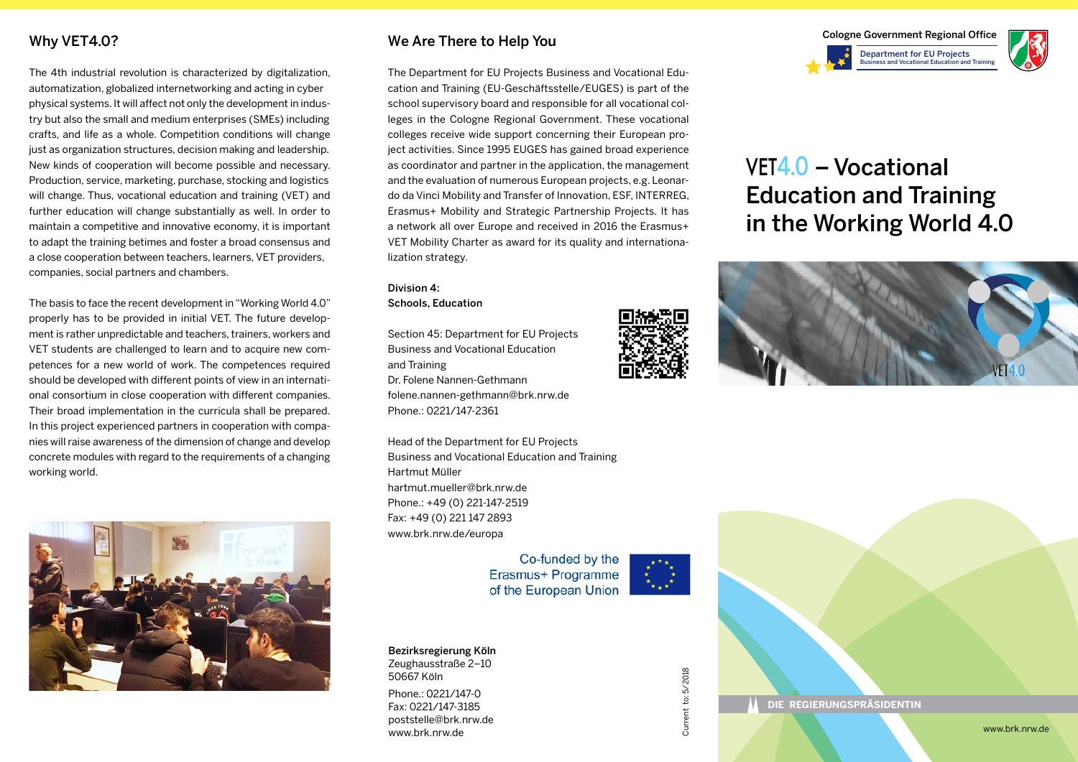## Why VET4.0?

The 4th industrial revolution is characterized by digitalization, automatization, globalized internetworking and acting in cyber physical systems. It will affect not only the development in industry but also the small and medium enterprises (SMEs) including crafts, and life as a whole. Competition conditions will change just as organization structures, decision making and leadership. New kinds of cooperation will become possible and necessary. Production, service, marketing, purchase, stocking and logistics will change. Thus, vocational education and training (VET) and further education will change substantially as well. In order to maintain a competitive and innovative economy, it is important to adapt the training betimes and foster a broad consensus and a close cooperation between teachers, learners, VET providers, companies, social partners and chambers.

The basis to face the recent development in "Working World 4.0" properly has to be provided in initial VET. The future development is rather unpredictable and teachers, trainers, workers and VET students are challenged to learn and to acquire new competences for a new world of work. The competences required should be developed with different points of view in an international consortium in close cooperation with different companies. Their broad implementation in the curricula shall be prepared. In this project experienced partners in cooperation with companies will raise awareness of the dimension of change and develop concrete modules with regard to the requirements of a changing working world.



### We Are There to Help You

The Department for EU Projects Business and Vocational Education and Training (EU-Geschäftsstelle/EUGES) is part of the school supervisory board and responsible for all vocational colleges in the Cologne Regional Government. These vocational colleges receive wide support concerning their European project activities. Since 1995 EUGES has gained broad experience as coordinator and partner in the application, the management and the evaluation of numerous European projects, e.g. Leonardo da Vinci Mobility and Transfer of Innovation, ESF, INTERREG, Erasmus+ Mobility and Strategic Partnership Projects. It has a network all over Europe and received in 2016 the Erasmus+ VET Mobility Charter as award for its quality and internationalization strategy.

Division 4: Schools, Education

Section 45: Department for EU Projects Business and Vocational Education and Training Dr. Folene Nannen-Gethmann folene.nannen-gethmann@brk.nrw.de Phone.: 0221/147-2361

Head of the Department for EU Projects Business and Vocational Education and Training Hartmut Müller hartmut.mueller@brk.nrw.de Phone.: +49 (0) 221-147-2519 Fax: +49 (0) 221 147 2893 www.brk.nrw.de/europa

> Co-funded by the Erasmus+ Programme of the European Union

Bezirksregierung Köln Zeughausstraße 2–10 50667 Köln Phone.: 0221/147-0 Fax: 0221/147-3185 poststelle@brk.nrw.de

www.brk.nrw.de



Current to: 5/2018 Current to: 5/2018



# VET4.0 – Vocational Education and Training in the Working World 4.0



**DIE REGIERUNGSPRÄSIDENTIN**